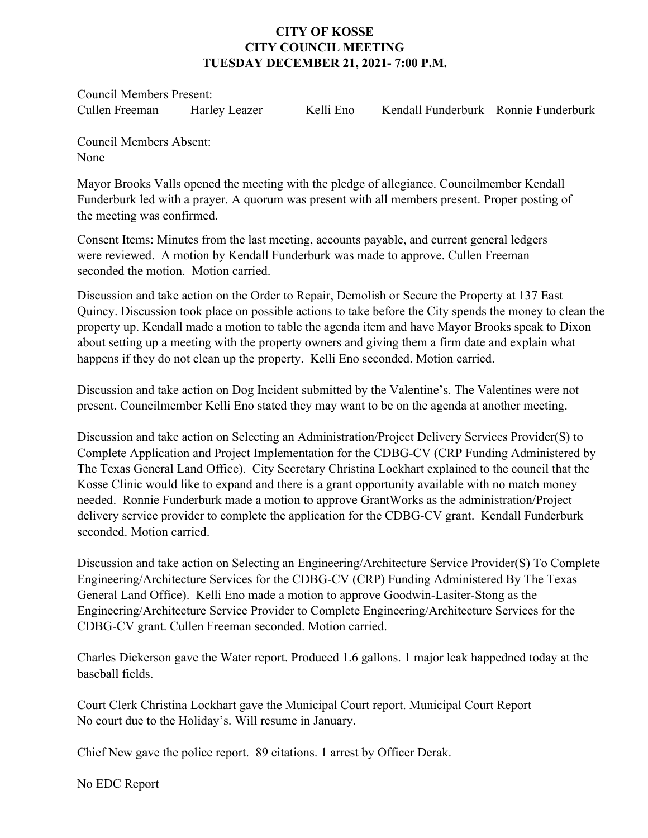## **CITY OF KOSSE CITY COUNCIL MEETING TUESDAY DECEMBER 21, 2021- 7:00 P.M.**

Council Members Present:

Cullen Freeman Harley Leazer Kelli Eno Kendall Funderburk Ronnie Funderburk

Council Members Absent: None

Mayor Brooks Valls opened the meeting with the pledge of allegiance. Councilmember Kendall Funderburk led with a prayer. A quorum was present with all members present. Proper posting of the meeting was confirmed.

Consent Items: Minutes from the last meeting, accounts payable, and current general ledgers were reviewed. A motion by Kendall Funderburk was made to approve. Cullen Freeman seconded the motion. Motion carried.

Discussion and take action on the Order to Repair, Demolish or Secure the Property at 137 East Quincy. Discussion took place on possible actions to take before the City spends the money to clean the property up. Kendall made a motion to table the agenda item and have Mayor Brooks speak to Dixon about setting up a meeting with the property owners and giving them a firm date and explain what happens if they do not clean up the property. Kelli Eno seconded. Motion carried.

Discussion and take action on Dog Incident submitted by the Valentine's. The Valentines were not present. Councilmember Kelli Eno stated they may want to be on the agenda at another meeting.

Discussion and take action on Selecting an Administration/Project Delivery Services Provider(S) to Complete Application and Project Implementation for the CDBG-CV (CRP Funding Administered by The Texas General Land Office). City Secretary Christina Lockhart explained to the council that the Kosse Clinic would like to expand and there is a grant opportunity available with no match money needed. Ronnie Funderburk made a motion to approve GrantWorks as the administration/Project delivery service provider to complete the application for the CDBG-CV grant. Kendall Funderburk seconded. Motion carried.

Discussion and take action on Selecting an Engineering/Architecture Service Provider(S) To Complete Engineering/Architecture Services for the CDBG-CV (CRP) Funding Administered By The Texas General Land Office). Kelli Eno made a motion to approve Goodwin-Lasiter-Stong as the Engineering/Architecture Service Provider to Complete Engineering/Architecture Services for the CDBG-CV grant. Cullen Freeman seconded. Motion carried.

Charles Dickerson gave the Water report. Produced 1.6 gallons. 1 major leak happedned today at the baseball fields.

Court Clerk Christina Lockhart gave the Municipal Court report. Municipal Court Report No court due to the Holiday's. Will resume in January.

Chief New gave the police report. 89 citations. 1 arrest by Officer Derak.

No EDC Report